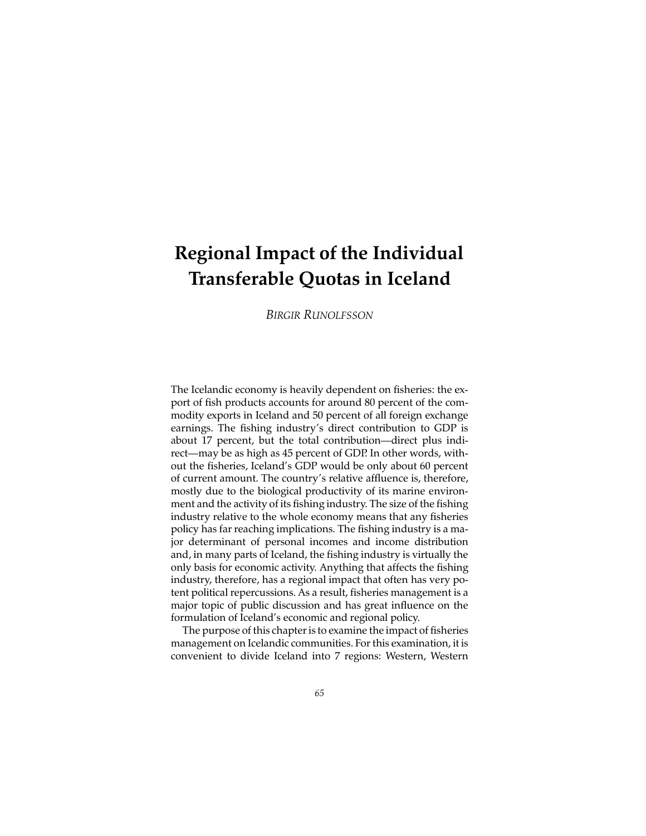# **Regional Impact of the Individual Transferable Quotas in Iceland**

*BIRGIR RUNOLFSSON*

The Icelandic economy is heavily dependent on fisheries: the export of fish products accounts for around 80 percent of the commodity exports in Iceland and 50 percent of all foreign exchange earnings. The fishing industry's direct contribution to GDP is about 17 percent, but the total contribution—direct plus indirect—may be as high as 45 percent of GDP. In other words, without the fisheries, Iceland's GDP would be only about 60 percent of current amount. The country's relative affluence is, therefore, mostly due to the biological productivity of its marine environment and the activity of its fishing industry. The size of the fishing industry relative to the whole economy means that any fisheries policy has far reaching implications. The fishing industry is a major determinant of personal incomes and income distribution and, in many parts of Iceland, the fishing industry is virtually the only basis for economic activity. Anything that affects the fishing industry, therefore, has a regional impact that often has very potent political repercussions. As a result, fisheries management is a major topic of public discussion and has great influence on the formulation of Iceland's economic and regional policy.

The purpose of this chapter is to examine the impact of fisheries management on Icelandic communities. For this examination, it is convenient to divide Iceland into 7 regions: Western, Western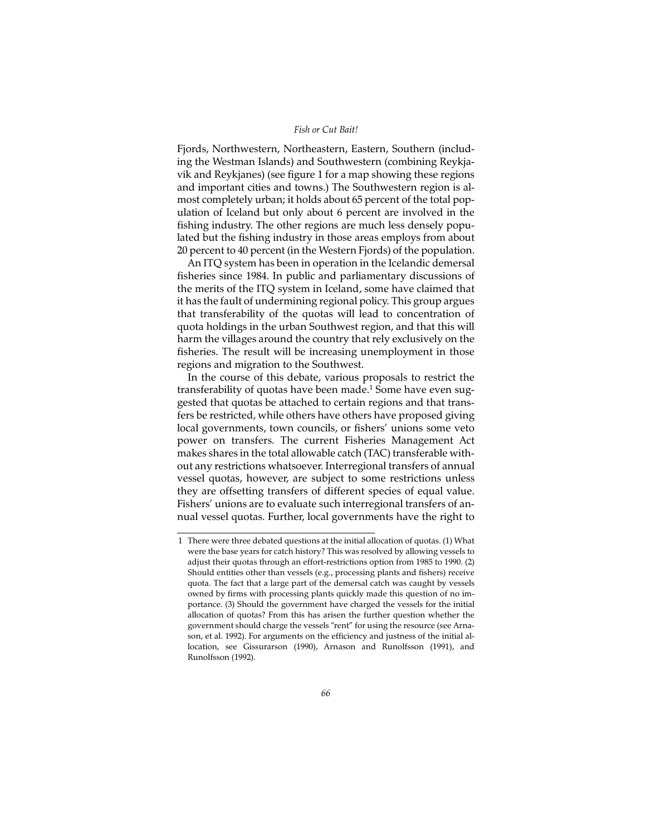Fjords, Northwestern, Northeastern, Eastern, Southern (including the Westman Islands) and Southwestern (combining Reykjavik and Reykjanes) (see figure 1 for a map showing these regions and important cities and towns.) The Southwestern region is almost completely urban; it holds about 65 percent of the total population of Iceland but only about 6 percent are involved in the fishing industry. The other regions are much less densely populated but the fishing industry in those areas employs from about 20 percent to 40 percent (in the Western Fjords) of the population.

An ITQ system has been in operation in the Icelandic demersal fisheries since 1984. In public and parliamentary discussions of the merits of the ITQ system in Iceland, some have claimed that it has the fault of undermining regional policy. This group argues that transferability of the quotas will lead to concentration of quota holdings in the urban Southwest region, and that this will harm the villages around the country that rely exclusively on the fisheries. The result will be increasing unemployment in those regions and migration to the Southwest.

In the course of this debate, various proposals to restrict the transferability of quotas have been made.<sup>1</sup> Some have even suggested that quotas be attached to certain regions and that transfers be restricted, while others have others have proposed giving local governments, town councils, or fishers' unions some veto power on transfers. The current Fisheries Management Act makes shares in the total allowable catch (TAC) transferable without any restrictions whatsoever. Interregional transfers of annual vessel quotas, however, are subject to some restrictions unless they are offsetting transfers of different species of equal value. Fishers' unions are to evaluate such interregional transfers of annual vessel quotas. Further, local governments have the right to

<sup>1</sup> There were three debated questions at the initial allocation of quotas. (1) What were the base years for catch history? This was resolved by allowing vessels to adjust their quotas through an effort-restrictions option from 1985 to 1990. (2) Should entities other than vessels (e.g., processing plants and fishers) receive quota. The fact that a large part of the demersal catch was caught by vessels owned by firms with processing plants quickly made this question of no importance. (3) Should the government have charged the vessels for the initial allocation of quotas? From this has arisen the further question whether the government should charge the vessels "rent" for using the resource (see Arnason, et al. 1992). For arguments on the efficiency and justness of the initial allocation, see Gissurarson (1990), Arnason and Runolfsson (1991), and Runolfsson (1992).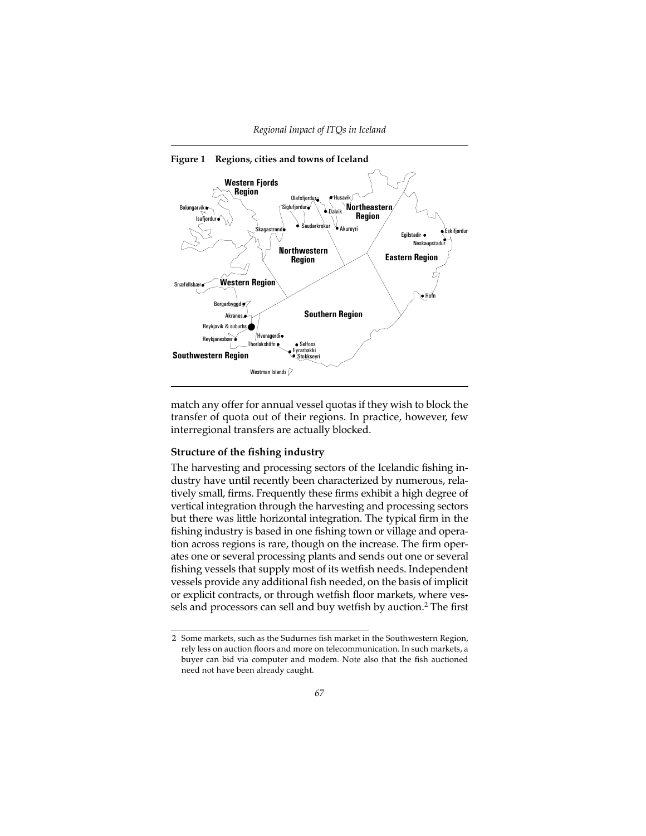



match any offer for annual vessel quotas if they wish to block the transfer of quota out of their regions. In practice, however, few interregional transfers are actually blocked.

## **Structure of the fishing industry**

The harvesting and processing sectors of the Icelandic fishing industry have until recently been characterized by numerous, relatively small, firms. Frequently these firms exhibit a high degree of vertical integration through the harvesting and processing sectors but there was little horizontal integration. The typical firm in the fishing industry is based in one fishing town or village and operation across regions is rare, though on the increase. The firm operates one or several processing plants and sends out one or several fishing vessels that supply most of its wetfish needs. Independent vessels provide any additional fish needed, on the basis of implicit or explicit contracts, or through wetfish floor markets, where vessels and processors can sell and buy wetfish by auction.<sup>2</sup> The first

<sup>2</sup> Some markets, such as the Sudurnes fish market in the Southwestern Region, rely less on auction floors and more on telecommunication. In such markets, a buyer can bid via computer and modem. Note also that the fish auctioned need not have been already caught.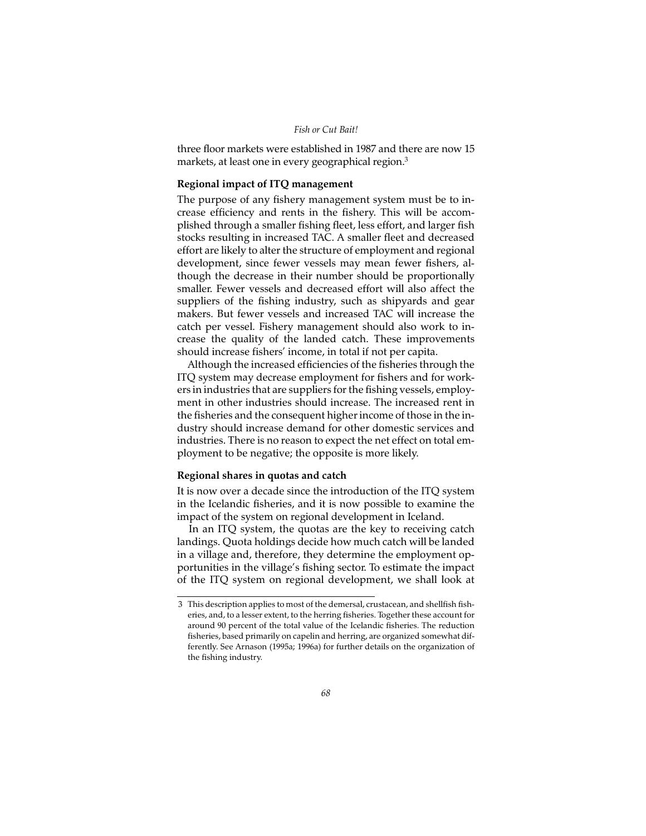three floor markets were established in 1987 and there are now 15 markets, at least one in every geographical region.<sup>3</sup>

## **Regional impact of ITQ management**

The purpose of any fishery management system must be to increase efficiency and rents in the fishery. This will be accomplished through a smaller fishing fleet, less effort, and larger fish stocks resulting in increased TAC. A smaller fleet and decreased effort are likely to alter the structure of employment and regional development, since fewer vessels may mean fewer fishers, although the decrease in their number should be proportionally smaller. Fewer vessels and decreased effort will also affect the suppliers of the fishing industry, such as shipyards and gear makers. But fewer vessels and increased TAC will increase the catch per vessel. Fishery management should also work to increase the quality of the landed catch. These improvements should increase fishers' income, in total if not per capita.

Although the increased efficiencies of the fisheries through the ITQ system may decrease employment for fishers and for workers in industries that are suppliers for the fishing vessels, employment in other industries should increase. The increased rent in the fisheries and the consequent higher income of those in the industry should increase demand for other domestic services and industries. There is no reason to expect the net effect on total employment to be negative; the opposite is more likely.

## **Regional shares in quotas and catch**

It is now over a decade since the introduction of the ITQ system in the Icelandic fisheries, and it is now possible to examine the impact of the system on regional development in Iceland.

In an ITQ system, the quotas are the key to receiving catch landings. Quota holdings decide how much catch will be landed in a village and, therefore, they determine the employment opportunities in the village's fishing sector. To estimate the impact of the ITQ system on regional development, we shall look at

<sup>3</sup> This description applies to most of the demersal, crustacean, and shellfish fisheries, and, to a lesser extent, to the herring fisheries. Together these account for around 90 percent of the total value of the Icelandic fisheries. The reduction fisheries, based primarily on capelin and herring, are organized somewhat differently. See Arnason (1995a; 1996a) for further details on the organization of the fishing industry.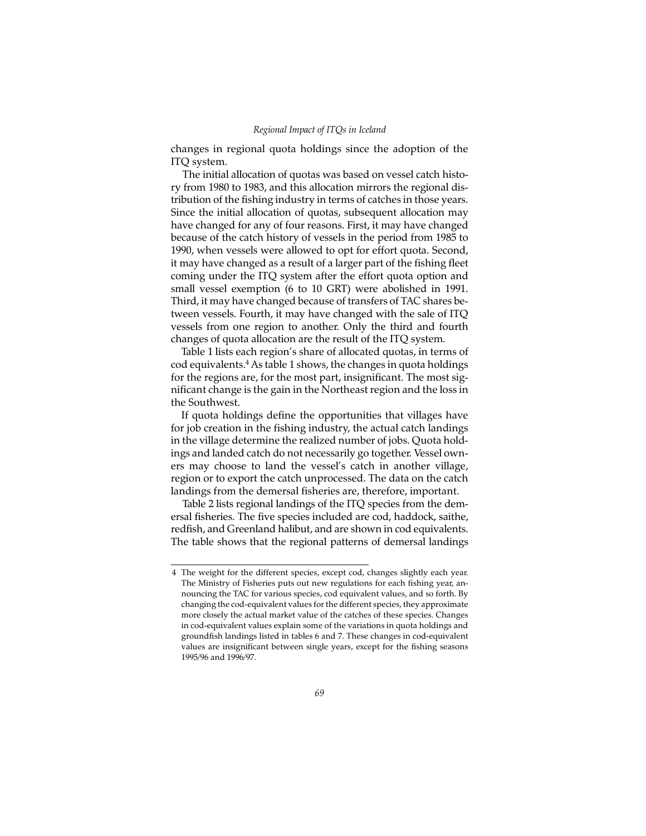changes in regional quota holdings since the adoption of the ITQ system.

The initial allocation of quotas was based on vessel catch history from 1980 to 1983, and this allocation mirrors the regional distribution of the fishing industry in terms of catches in those years. Since the initial allocation of quotas, subsequent allocation may have changed for any of four reasons. First, it may have changed because of the catch history of vessels in the period from 1985 to 1990, when vessels were allowed to opt for effort quota. Second, it may have changed as a result of a larger part of the fishing fleet coming under the ITQ system after the effort quota option and small vessel exemption (6 to 10 GRT) were abolished in 1991. Third, it may have changed because of transfers of TAC shares between vessels. Fourth, it may have changed with the sale of ITQ vessels from one region to another. Only the third and fourth changes of quota allocation are the result of the ITQ system.

Table 1 lists each region's share of allocated quotas, in terms of cod equivalents.4 As table 1 shows, the changes in quota holdings for the regions are, for the most part, insignificant. The most significant change is the gain in the Northeast region and the loss in the Southwest.

If quota holdings define the opportunities that villages have for job creation in the fishing industry, the actual catch landings in the village determine the realized number of jobs. Quota holdings and landed catch do not necessarily go together. Vessel owners may choose to land the vessel's catch in another village, region or to export the catch unprocessed. The data on the catch landings from the demersal fisheries are, therefore, important.

Table 2 lists regional landings of the ITQ species from the demersal fisheries. The five species included are cod, haddock, saithe, redfish, and Greenland halibut, and are shown in cod equivalents. The table shows that the regional patterns of demersal landings

<sup>4</sup> The weight for the different species, except cod, changes slightly each year. The Ministry of Fisheries puts out new regulations for each fishing year, announcing the TAC for various species, cod equivalent values, and so forth. By changing the cod-equivalent values for the different species, they approximate more closely the actual market value of the catches of these species. Changes in cod-equivalent values explain some of the variations in quota holdings and groundfish landings listed in tables 6 and 7. These changes in cod-equivalent values are insignificant between single years, except for the fishing seasons 1995/96 and 1996/97.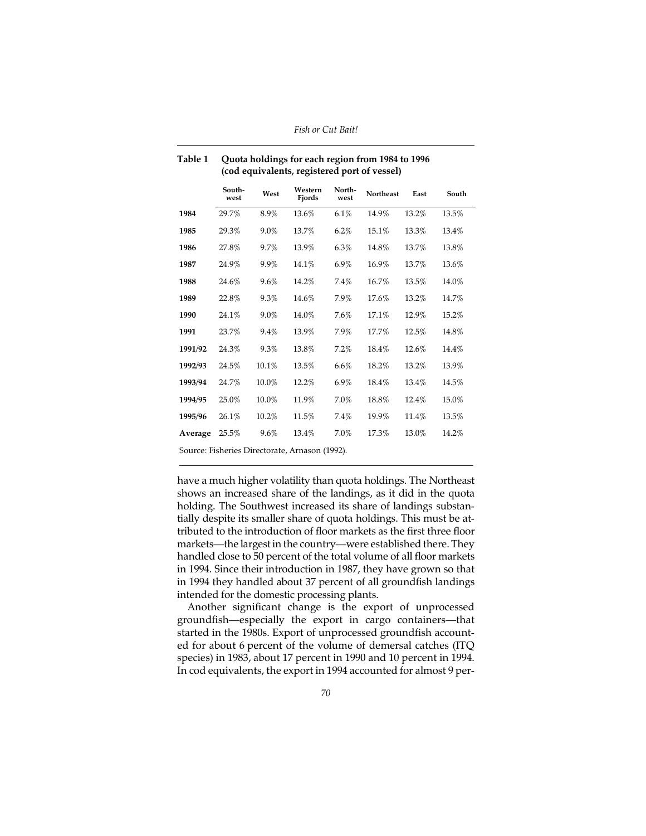| Table 1 | Quota holdings for each region from 1984 to 1996 |
|---------|--------------------------------------------------|
|         | (cod equivalents, registered port of vessel)     |

|         | South-<br>west | West  | Western<br>Fjords                              | North-<br>west | <b>Northeast</b> | East  | South |
|---------|----------------|-------|------------------------------------------------|----------------|------------------|-------|-------|
| 1984    | 29.7%          | 8.9%  | 13.6%                                          | 6.1%           | 14.9%            | 13.2% | 13.5% |
| 1985    | 29.3%          | 9.0%  | 13.7%                                          | 6.2%           | 15.1%            | 13.3% | 13.4% |
| 1986    | 27.8%          | 9.7%  | 13.9%                                          | 6.3%           | 14.8%            | 13.7% | 13.8% |
| 1987    | 24.9%          | 9.9%  | 14.1%                                          | 6.9%           | 16.9%            | 13.7% | 13.6% |
| 1988    | 24.6%          | 9.6%  | 14.2%                                          | 7.4%           | 16.7%            | 13.5% | 14.0% |
| 1989    | 22.8%          | 9.3%  | 14.6%                                          | 7.9%           | 17.6%            | 13.2% | 14.7% |
| 1990    | 24.1%          | 9.0%  | 14.0%                                          | 7.6%           | 17.1%            | 12.9% | 15.2% |
| 1991    | 23.7%          | 9.4%  | 13.9%                                          | 7.9%           | 17.7%            | 12.5% | 14.8% |
| 1991/92 | 24.3%          | 9.3%  | 13.8%                                          | 7.2%           | 18.4%            | 12.6% | 14.4% |
| 1992/93 | 24.5%          | 10.1% | 13.5%                                          | 6.6%           | 18.2%            | 13.2% | 13.9% |
| 1993/94 | 24.7%          | 10.0% | 12.2%                                          | 6.9%           | 18.4%            | 13.4% | 14.5% |
| 1994/95 | 25.0%          | 10.0% | 11.9%                                          | 7.0%           | 18.8%            | 12.4% | 15.0% |
| 1995/96 | 26.1%          | 10.2% | 11.5%                                          | 7.4%           | 19.9%            | 11.4% | 13.5% |
| Average | 25.5%          | 9.6%  | 13.4%                                          | 7.0%           | 17.3%            | 13.0% | 14.2% |
|         |                |       | Source: Fisheries Directorate, Arnason (1992). |                |                  |       |       |

have a much higher volatility than quota holdings. The Northeast shows an increased share of the landings, as it did in the quota holding. The Southwest increased its share of landings substantially despite its smaller share of quota holdings. This must be attributed to the introduction of floor markets as the first three floor markets—the largest in the country—were established there. They handled close to 50 percent of the total volume of all floor markets in 1994. Since their introduction in 1987, they have grown so that in 1994 they handled about 37 percent of all groundfish landings intended for the domestic processing plants.

Another significant change is the export of unprocessed groundfish—especially the export in cargo containers—that started in the 1980s. Export of unprocessed groundfish accounted for about 6 percent of the volume of demersal catches (ITQ species) in 1983, about 17 percent in 1990 and 10 percent in 1994. In cod equivalents, the export in 1994 accounted for almost 9 per-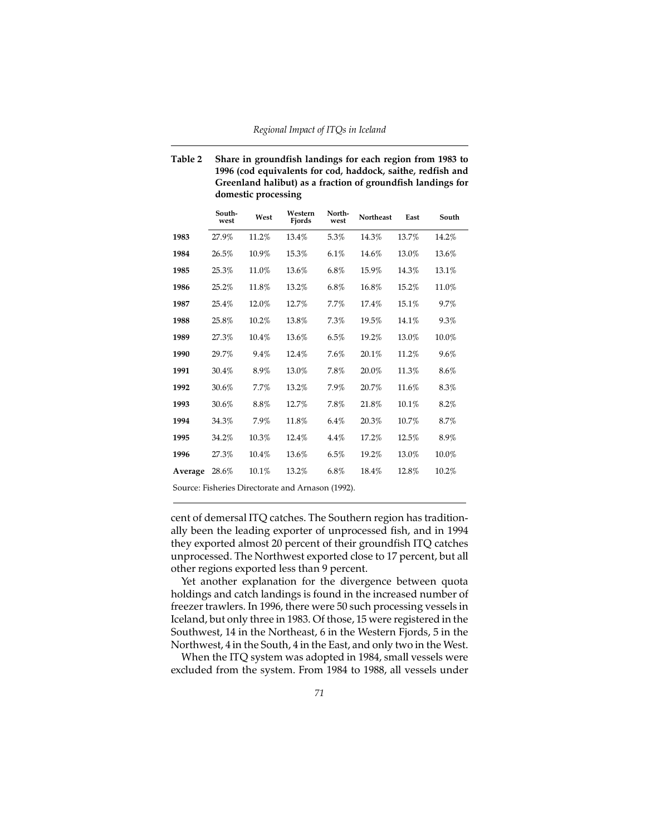## **Table 2 Share in groundfish landings for each region from 1983 to 1996 (cod equivalents for cod, haddock, saithe, redfish and Greenland halibut) as a fraction of groundfish landings for domestic processing**

|         | South-<br>west | West     | Western<br>Fiords                                 | North-<br>west | <b>Northeast</b> | East  | South   |
|---------|----------------|----------|---------------------------------------------------|----------------|------------------|-------|---------|
| 1983    | 27.9%          | 11.2%    | 13.4%                                             | 5.3%           | 14.3%            | 13.7% | 14.2%   |
| 1984    | 26.5%          | 10.9%    | 15.3%                                             | 6.1%           | 14.6%            | 13.0% | 13.6%   |
| 1985    | 25.3%          | 11.0%    | 13.6%                                             | 6.8%           | 15.9%            | 14.3% | 13.1%   |
| 1986    | 25.2%          | 11.8%    | 13.2%                                             | 6.8%           | 16.8%            | 15.2% | 11.0%   |
| 1987    | 25.4%          | 12.0%    | 12.7%                                             | 7.7%           | 17.4%            | 15.1% | 9.7%    |
| 1988    | 25.8%          | 10.2%    | 13.8%                                             | 7.3%           | 19.5%            | 14.1% | 9.3%    |
| 1989    | 27.3%          | 10.4%    | 13.6%                                             | 6.5%           | 19.2%            | 13.0% | 10.0%   |
| 1990    | 29.7%          | 9.4%     | 12.4%                                             | 7.6%           | 20.1%            | 11.2% | $9.6\%$ |
| 1991    | 30.4%          | 8.9%     | 13.0%                                             | 7.8%           | 20.0%            | 11.3% | $8.6\%$ |
| 1992    | 30.6%          | 7.7%     | 13.2%                                             | 7.9%           | 20.7%            | 11.6% | 8.3%    |
| 1993    | 30.6%          | 8.8%     | 12.7%                                             | 7.8%           | 21.8%            | 10.1% | 8.2%    |
| 1994    | 34.3%          | 7.9%     | 11.8%                                             | $6.4\%$        | 20.3%            | 10.7% | 8.7%    |
| 1995    | 34.2%          | 10.3%    | 12.4%                                             | $4.4\%$        | 17.2%            | 12.5% | 8.9%    |
| 1996    | 27.3%          | $10.4\%$ | 13.6%                                             | 6.5%           | 19.2%            | 13.0% | 10.0%   |
| Average | 28.6%          | $10.1\%$ | 13.2%                                             | $6.8\%$        | 18.4%            | 12.8% | 10.2%   |
|         |                |          | Source: Fisheries Directorate and Arnason (1992). |                |                  |       |         |

cent of demersal ITQ catches. The Southern region has traditionally been the leading exporter of unprocessed fish, and in 1994 they exported almost 20 percent of their groundfish ITQ catches unprocessed. The Northwest exported close to 17 percent, but all other regions exported less than 9 percent.

Yet another explanation for the divergence between quota holdings and catch landings is found in the increased number of freezer trawlers. In 1996, there were 50 such processing vessels in Iceland, but only three in 1983. Of those, 15 were registered in the Southwest, 14 in the Northeast, 6 in the Western Fjords, 5 in the Northwest, 4 in the South, 4 in the East, and only two in the West.

When the ITQ system was adopted in 1984, small vessels were excluded from the system. From 1984 to 1988, all vessels under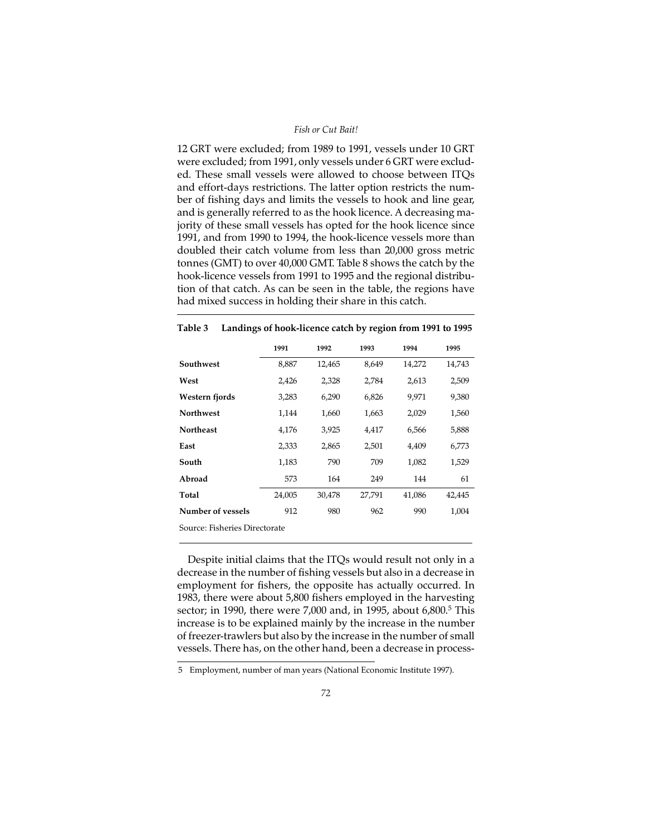12 GRT were excluded; from 1989 to 1991, vessels under 10 GRT were excluded; from 1991, only vessels under 6 GRT were excluded. These small vessels were allowed to choose between ITQs and effort-days restrictions. The latter option restricts the number of fishing days and limits the vessels to hook and line gear, and is generally referred to as the hook licence. A decreasing majority of these small vessels has opted for the hook licence since 1991, and from 1990 to 1994, the hook-licence vessels more than doubled their catch volume from less than 20,000 gross metric tonnes (GMT) to over 40,000 GMT. Table 8 shows the catch by the hook-licence vessels from 1991 to 1995 and the regional distribution of that catch. As can be seen in the table, the regions have had mixed success in holding their share in this catch.

|                               | 1991   | 1992   | 1993   | 1994   | 1995   |
|-------------------------------|--------|--------|--------|--------|--------|
| Southwest                     | 8,887  | 12,465 | 8,649  | 14,272 | 14,743 |
| West                          | 2,426  | 2,328  | 2,784  | 2,613  | 2,509  |
| Western fjords                | 3,283  | 6,290  | 6,826  | 9,971  | 9,380  |
| <b>Northwest</b>              | 1,144  | 1,660  | 1,663  | 2,029  | 1,560  |
| <b>Northeast</b>              | 4,176  | 3,925  | 4,417  | 6,566  | 5,888  |
| East                          | 2,333  | 2,865  | 2,501  | 4,409  | 6,773  |
| South                         | 1,183  | 790    | 709    | 1,082  | 1,529  |
| Abroad                        | 573    | 164    | 249    | 144    | 61     |
| Total                         | 24,005 | 30,478 | 27,791 | 41,086 | 42,445 |
| Number of vessels             | 912    | 980    | 962    | 990    | 1.004  |
| Source: Fisheries Directorate |        |        |        |        |        |

## **Table 3 Landings of hook-licence catch by region from 1991 to 1995**

Despite initial claims that the ITQs would result not only in a decrease in the number of fishing vessels but also in a decrease in employment for fishers, the opposite has actually occurred. In 1983, there were about 5,800 fishers employed in the harvesting sector; in 1990, there were 7,000 and, in 1995, about 6,800.<sup>5</sup> This increase is to be explained mainly by the increase in the number of freezer-trawlers but also by the increase in the number of small vessels. There has, on the other hand, been a decrease in process-

<sup>5</sup> Employment, number of man years (National Economic Institute 1997).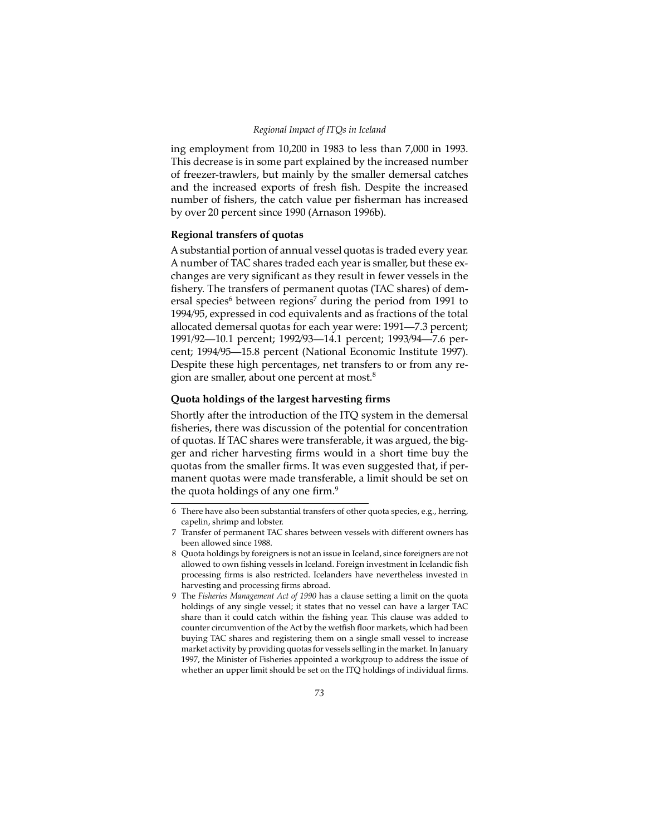ing employment from 10,200 in 1983 to less than 7,000 in 1993. This decrease is in some part explained by the increased number of freezer-trawlers, but mainly by the smaller demersal catches and the increased exports of fresh fish. Despite the increased number of fishers, the catch value per fisherman has increased by over 20 percent since 1990 (Arnason 1996b).

# **Regional transfers of quotas**

A substantial portion of annual vessel quotas is traded every year. A number of TAC shares traded each year is smaller, but these exchanges are very significant as they result in fewer vessels in the fishery. The transfers of permanent quotas (TAC shares) of demersal species<sup>6</sup> between regions<sup>7</sup> during the period from 1991 to 1994/95, expressed in cod equivalents and as fractions of the total allocated demersal quotas for each year were: 1991—7.3 percent; 1991/92—10.1 percent; 1992/93—14.1 percent; 1993/94—7.6 percent; 1994/95—15.8 percent (National Economic Institute 1997). Despite these high percentages, net transfers to or from any region are smaller, about one percent at most.8

## **Quota holdings of the largest harvesting firms**

Shortly after the introduction of the ITQ system in the demersal fisheries, there was discussion of the potential for concentration of quotas. If TAC shares were transferable, it was argued, the bigger and richer harvesting firms would in a short time buy the quotas from the smaller firms. It was even suggested that, if permanent quotas were made transferable, a limit should be set on the quota holdings of any one firm.<sup>9</sup>

<sup>6</sup> There have also been substantial transfers of other quota species, e.g., herring, capelin, shrimp and lobster.

<sup>7</sup> Transfer of permanent TAC shares between vessels with different owners has been allowed since 1988.

<sup>8</sup> Quota holdings by foreigners is not an issue in Iceland, since foreigners are not allowed to own fishing vessels in Iceland. Foreign investment in Icelandic fish processing firms is also restricted. Icelanders have nevertheless invested in harvesting and processing firms abroad.

<sup>9</sup> The *Fisheries Management Act of 1990* has a clause setting a limit on the quota holdings of any single vessel; it states that no vessel can have a larger TAC share than it could catch within the fishing year. This clause was added to counter circumvention of the Act by the wetfish floor markets, which had been buying TAC shares and registering them on a single small vessel to increase market activity by providing quotas for vessels selling in the market. In January 1997, the Minister of Fisheries appointed a workgroup to address the issue of whether an upper limit should be set on the ITQ holdings of individual firms.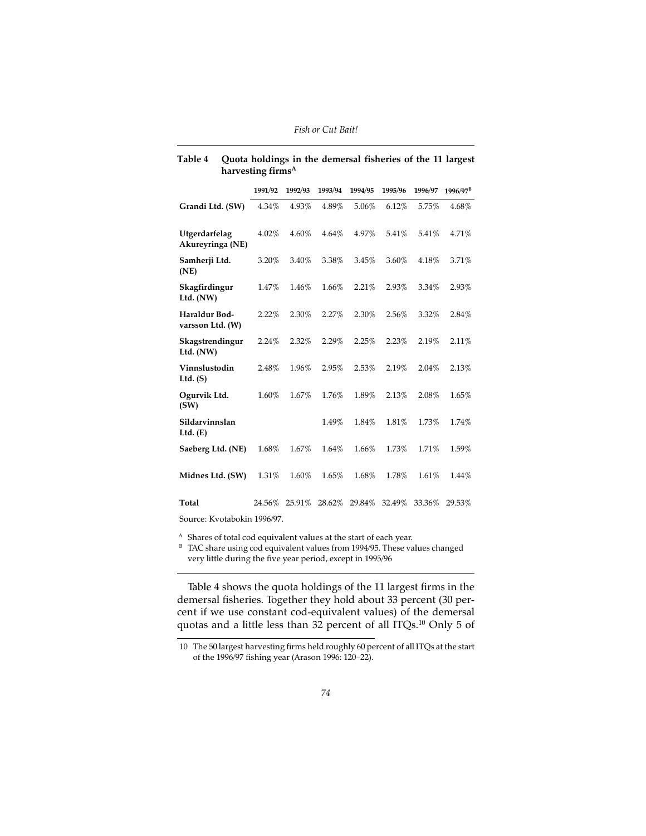|                                   | 1991/92 | 1992/93 | 1993/94 | 1994/95 | 1995/96 | 1996/97 | 1996/97 <sup>B</sup> |
|-----------------------------------|---------|---------|---------|---------|---------|---------|----------------------|
| Grandi Ltd. (SW)                  | 4.34%   | 4.93%   | 4.89%   | 5.06%   | 6.12%   | 5.75%   | 4.68%                |
| Utgerdarfelag<br>Akureyringa (NE) | 4.02%   | 4.60%   | 4.64%   | 4.97%   | 5.41%   | 5.41%   | 4.71%                |
| Samherji Ltd.<br>(NE)             | 3.20%   | 3.40%   | 3.38%   | 3.45%   | 3.60%   | 4.18%   | 3.71%                |
| Skagfirdingur<br>Ltd. $(NW)$      | 1.47%   | 1.46%   | 1.66%   | 2.21%   | 2.93%   | 3.34%   | 2.93%                |
| Haraldur Bod-<br>varsson Ltd. (W) | 2.22%   | 2.30%   | 2.27%   | 2.30%   | 2.56%   | 3.32%   | $2.84\%$             |
| Skagstrendingur<br>Ltd. $(NW)$    | 2.24%   | 2.32%   | 2.29%   | 2.25%   | 2.23%   | 2.19%   | 2.11%                |
| Vinnslustodin<br>Ltd. $(S)$       | 2.48%   | 1.96%   | 2.95%   | 2.53%   | 2.19%   | 2.04%   | 2.13%                |
| Ogurvik Ltd.<br>(SW)              | 1.60%   | 1.67%   | 1.76%   | 1.89%   | 2.13%   | 2.08%   | 1.65%                |
| Sildarvinnslan<br>Ltd. $(E)$      |         |         | 1.49%   | 1.84%   | 1.81%   | 1.73%   | 1.74%                |
| Saeberg Ltd. (NE)                 | 1.68%   | 1.67%   | 1.64%   | 1.66%   | 1.73%   | 1.71%   | 1.59%                |
| Midnes Ltd. (SW)                  | 1.31%   | 1.60%   | 1.65%   | 1.68%   | 1.78%   | 1.61%   | 1.44%                |
| <b>Total</b>                      | 24.56%  | 25.91%  | 28.62%  | 29.84%  | 32.49%  | 33.36%  | 29.53%               |
| Source: Kvotabokin 1996/97.       |         |         |         |         |         |         |                      |

## **Table 4 Quota holdings in the demersal fisheries of the 11 largest harvesting firmsA**

<sup>A</sup> Shares of total cod equivalent values at the start of each year.

B TAC share using cod equivalent values from 1994/95. These values changed very little during the five year period, except in 1995/96

Table 4 shows the quota holdings of the 11 largest firms in the demersal fisheries. Together they hold about 33 percent (30 percent if we use constant cod-equivalent values) of the demersal quotas and a little less than 32 percent of all ITQs.<sup>10</sup> Only 5 of

<sup>10</sup> The 50 largest harvesting firms held roughly 60 percent of all ITQs at the start of the 1996/97 fishing year (Arason 1996: 120–22).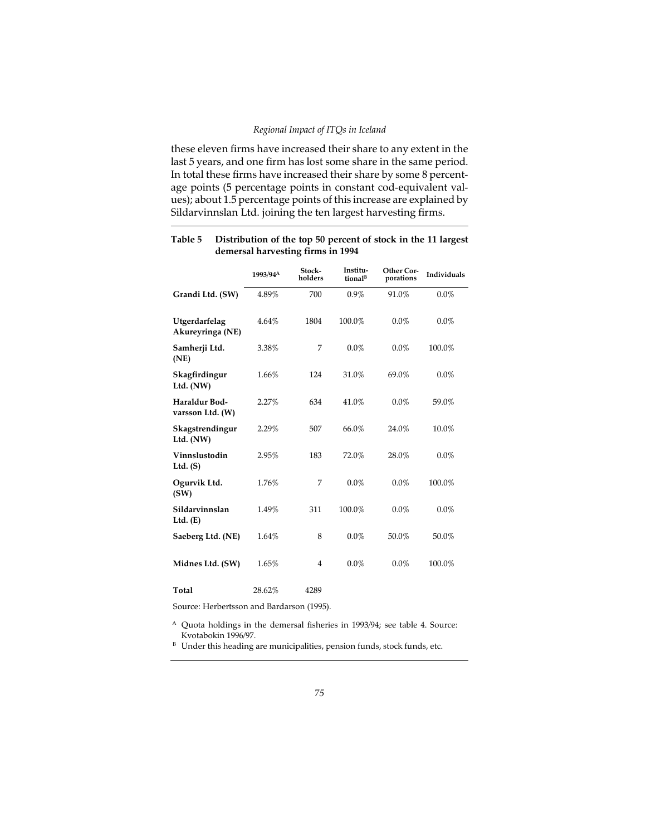## *Regional Impact of ITQs in Iceland*

these eleven firms have increased their share to any extent in the last 5 years, and one firm has lost some share in the same period. In total these firms have increased their share by some 8 percentage points (5 percentage points in constant cod-equivalent values); about 1.5 percentage points of this increase are explained by Sildarvinnslan Ltd. joining the ten largest harvesting firms.

|                                   | 1993/94 <sup>A</sup> | Stock-<br>holders | Institu-<br>tional <sup>B</sup> | <b>Other Cor-</b><br>porations | Individuals |
|-----------------------------------|----------------------|-------------------|---------------------------------|--------------------------------|-------------|
| Grandi Ltd. (SW)                  | 4.89%                | 700               | 0.9%                            | 91.0%                          | $0.0\%$     |
| Utgerdarfelag<br>Akureyringa (NE) | $4.64\%$             | 1804              | 100.0%                          | $0.0\%$                        | $0.0\%$     |
| Samherji Ltd.<br>(NE)             | 3.38%                | 7                 | $0.0\%$                         | $0.0\%$                        | 100.0%      |
| Skagfirdingur<br>Ltd. $(NW)$      | 1.66%                | 124               | 31.0%                           | 69.0%                          | $0.0\%$     |
| Haraldur Bod-<br>varsson Ltd. (W) | 2.27%                | 634               | 41.0%                           | $0.0\%$                        | 59.0%       |
| Skagstrendingur<br>Ltd. $(NW)$    | 2.29%                | 507               | 66.0%                           | 24.0%                          | 10.0%       |
| Vinnslustodin<br>Ltd. $(S)$       | 2.95%                | 183               | 72.0%                           | 28.0%                          | $0.0\%$     |
| Ogurvik Ltd.<br>(SW)              | 1.76%                | 7                 | $0.0\%$                         | $0.0\%$                        | 100.0%      |
| Sildarvinnslan<br>Ltd. $(E)$      | 1.49%                | 311               | 100.0%                          | $0.0\%$                        | $0.0\%$     |
| Saeberg Ltd. (NE)                 | 1.64%                | 8                 | $0.0\%$                         | 50.0%                          | 50.0%       |
| Midnes Ltd. (SW)                  | 1.65%                | 4                 | $0.0\%$                         | $0.0\%$                        | 100.0%      |
| Total                             | 28.62%               | 4289              |                                 |                                |             |

## **Table 5 Distribution of the top 50 percent of stock in the 11 largest demersal harvesting firms in 1994**

Source: Herbertsson and Bardarson (1995).

<sup>A</sup> Quota holdings in the demersal fisheries in 1993/94; see table 4. Source: Kvotabokin 1996/97.

 $B$  Under this heading are municipalities, pension funds, stock funds, etc.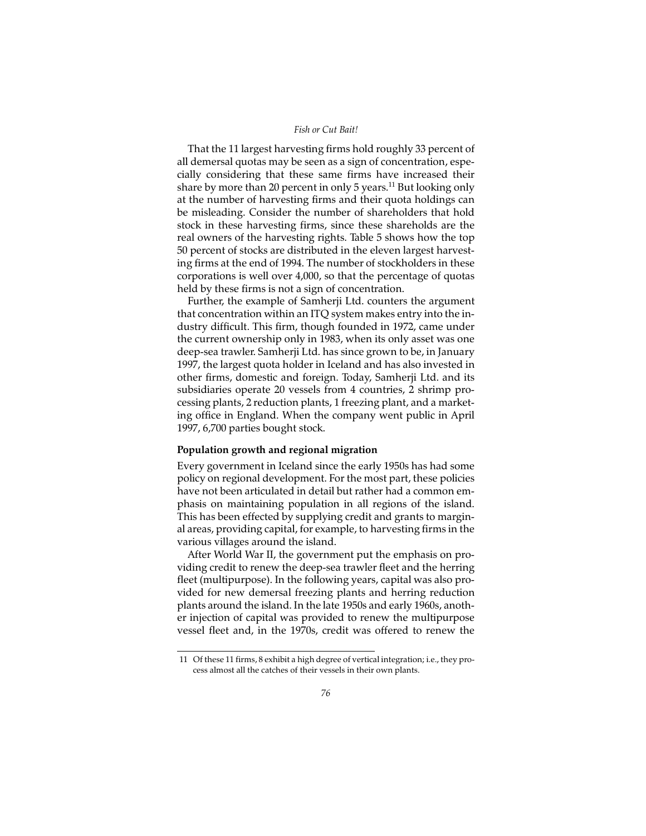That the 11 largest harvesting firms hold roughly 33 percent of all demersal quotas may be seen as a sign of concentration, especially considering that these same firms have increased their share by more than 20 percent in only 5 years.<sup>11</sup> But looking only at the number of harvesting firms and their quota holdings can be misleading. Consider the number of shareholders that hold stock in these harvesting firms, since these shareholds are the real owners of the harvesting rights. Table 5 shows how the top 50 percent of stocks are distributed in the eleven largest harvesting firms at the end of 1994. The number of stockholders in these corporations is well over 4,000, so that the percentage of quotas held by these firms is not a sign of concentration.

Further, the example of Samherji Ltd. counters the argument that concentration within an ITQ system makes entry into the industry difficult. This firm, though founded in 1972, came under the current ownership only in 1983, when its only asset was one deep-sea trawler. Samherji Ltd. has since grown to be, in January 1997, the largest quota holder in Iceland and has also invested in other firms, domestic and foreign. Today, Samherji Ltd. and its subsidiaries operate 20 vessels from 4 countries, 2 shrimp processing plants, 2 reduction plants, 1 freezing plant, and a marketing office in England. When the company went public in April 1997, 6,700 parties bought stock.

## **Population growth and regional migration**

Every government in Iceland since the early 1950s has had some policy on regional development. For the most part, these policies have not been articulated in detail but rather had a common emphasis on maintaining population in all regions of the island. This has been effected by supplying credit and grants to marginal areas, providing capital, for example, to harvesting firms in the various villages around the island.

After World War II, the government put the emphasis on providing credit to renew the deep-sea trawler fleet and the herring fleet (multipurpose). In the following years, capital was also provided for new demersal freezing plants and herring reduction plants around the island. In the late 1950s and early 1960s, another injection of capital was provided to renew the multipurpose vessel fleet and, in the 1970s, credit was offered to renew the

<sup>11</sup> Of these 11 firms, 8 exhibit a high degree of vertical integration; i.e., they process almost all the catches of their vessels in their own plants.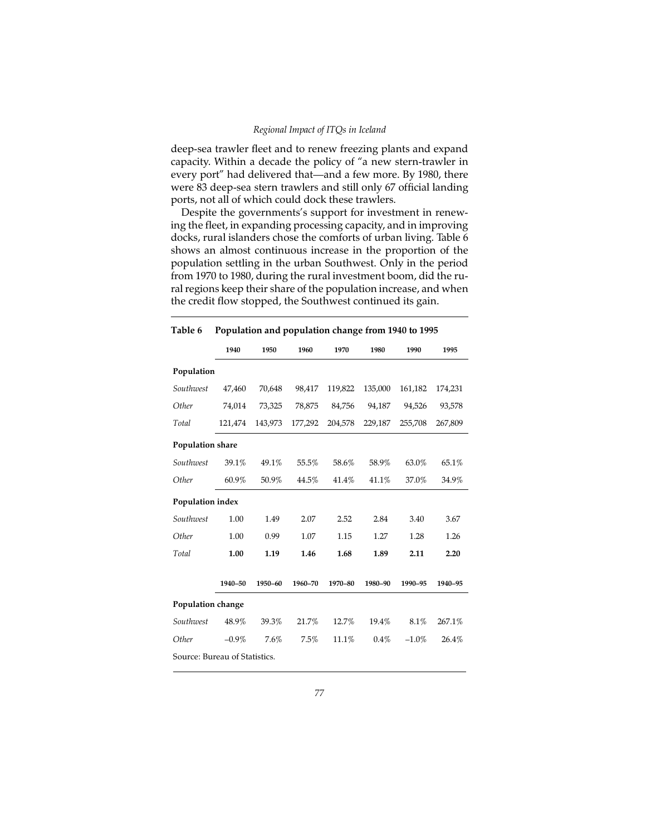#### *Regional Impact of ITQs in Iceland*

deep-sea trawler fleet and to renew freezing plants and expand capacity. Within a decade the policy of "a new stern-trawler in every port" had delivered that—and a few more. By 1980, there were 83 deep-sea stern trawlers and still only 67 official landing ports, not all of which could dock these trawlers.

Despite the governments's support for investment in renewing the fleet, in expanding processing capacity, and in improving docks, rural islanders chose the comforts of urban living. Table 6 shows an almost continuous increase in the proportion of the population settling in the urban Southwest. Only in the period from 1970 to 1980, during the rural investment boom, did the rural regions keep their share of the population increase, and when the credit flow stopped, the Southwest continued its gain.

|                               | 1940     | 1950    | 1960    | 1970    | 1980    | 1990     | 1995    |
|-------------------------------|----------|---------|---------|---------|---------|----------|---------|
| Population                    |          |         |         |         |         |          |         |
| Southwest                     | 47,460   | 70,648  | 98,417  | 119,822 | 135,000 | 161,182  | 174,231 |
| Other                         | 74,014   | 73,325  | 78,875  | 84,756  | 94,187  | 94,526   | 93,578  |
| Total                         | 121,474  | 143,973 | 177,292 | 204,578 | 229,187 | 255,708  | 267,809 |
| <b>Population share</b>       |          |         |         |         |         |          |         |
| Southwest                     | 39.1%    | 49.1%   | 55.5%   | 58.6%   | 58.9%   | 63.0%    | 65.1%   |
| Other                         | 60.9%    | 50.9%   | 44.5%   | 41.4%   | 41.1%   | 37.0%    | 34.9%   |
| Population index              |          |         |         |         |         |          |         |
| Southwest                     | 1.00     | 1.49    | 2.07    | 2.52    | 2.84    | 3.40     | 3.67    |
| Other                         | 1.00     | 0.99    | 1.07    | 1.15    | 1.27    | 1.28     | 1.26    |
| Total                         | 1.00     | 1.19    | 1.46    | 1.68    | 1.89    | 2.11     | 2.20    |
|                               | 1940-50  | 1950-60 | 1960-70 | 1970-80 | 1980-90 | 1990-95  | 1940-95 |
| <b>Population change</b>      |          |         |         |         |         |          |         |
| Southwest                     | 48.9%    | 39.3%   | 21.7%   | 12.7%   | 19.4%   | 8.1%     | 267.1%  |
| Other                         | $-0.9\%$ | 7.6%    | 7.5%    | 11.1%   | $0.4\%$ | $-1.0\%$ | 26.4%   |
| Source: Bureau of Statistics. |          |         |         |         |         |          |         |

**Table 6 Population and population change from 1940 to 1995**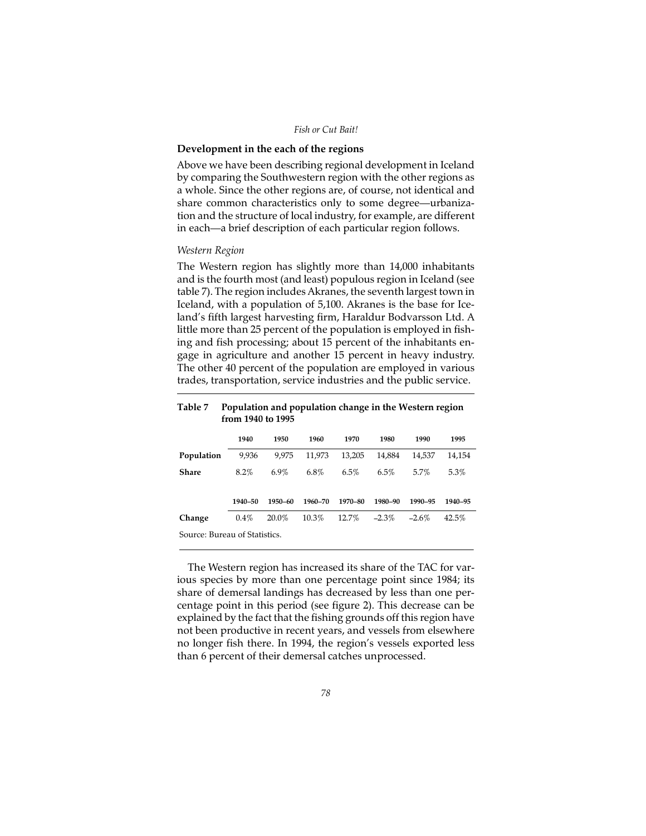# **Development in the each of the regions**

Above we have been describing regional development in Iceland by comparing the Southwestern region with the other regions as a whole. Since the other regions are, of course, not identical and share common characteristics only to some degree—urbanization and the structure of local industry, for example, are different in each—a brief description of each particular region follows.

## *Western Region*

The Western region has slightly more than 14,000 inhabitants and is the fourth most (and least) populous region in Iceland (see table 7). The region includes Akranes, the seventh largest town in Iceland, with a population of 5,100. Akranes is the base for Iceland's fifth largest harvesting firm, Haraldur Bodvarsson Ltd. A little more than 25 percent of the population is employed in fishing and fish processing; about 15 percent of the inhabitants engage in agriculture and another 15 percent in heavy industry. The other 40 percent of the population are employed in various trades, transportation, service industries and the public service.

| . . <i>.</i>                  | 1 op anderen and pop anderen enange in the western region<br>from 1940 to 1995 |         |         |         |          |          |         |
|-------------------------------|--------------------------------------------------------------------------------|---------|---------|---------|----------|----------|---------|
|                               | 1940                                                                           | 1950    | 1960    | 1970    | 1980     | 1990     | 1995    |
| Population                    | 9,936                                                                          | 9.975   | 11.973  | 13,205  | 14,884   | 14,537   | 14,154  |
| Share                         | $8.2\%$                                                                        | $6.9\%$ | 6.8%    | 6.5%    | 6.5%     | 5.7%     | 5.3%    |
|                               | 1940-50                                                                        | 1950-60 | 1960-70 | 1970-80 | 1980-90  | 1990-95  | 1940-95 |
| Change                        | $0.4\%$                                                                        | 20.0%   | 10.3%   | 12.7%   | $-2.3\%$ | $-2.6\%$ | 42.5%   |
| Source: Bureau of Statistics. |                                                                                |         |         |         |          |          |         |

**Table 7 Population and population change in the Western region**

The Western region has increased its share of the TAC for various species by more than one percentage point since 1984; its share of demersal landings has decreased by less than one percentage point in this period (see figure 2). This decrease can be explained by the fact that the fishing grounds off this region have not been productive in recent years, and vessels from elsewhere no longer fish there. In 1994, the region's vessels exported less than 6 percent of their demersal catches unprocessed.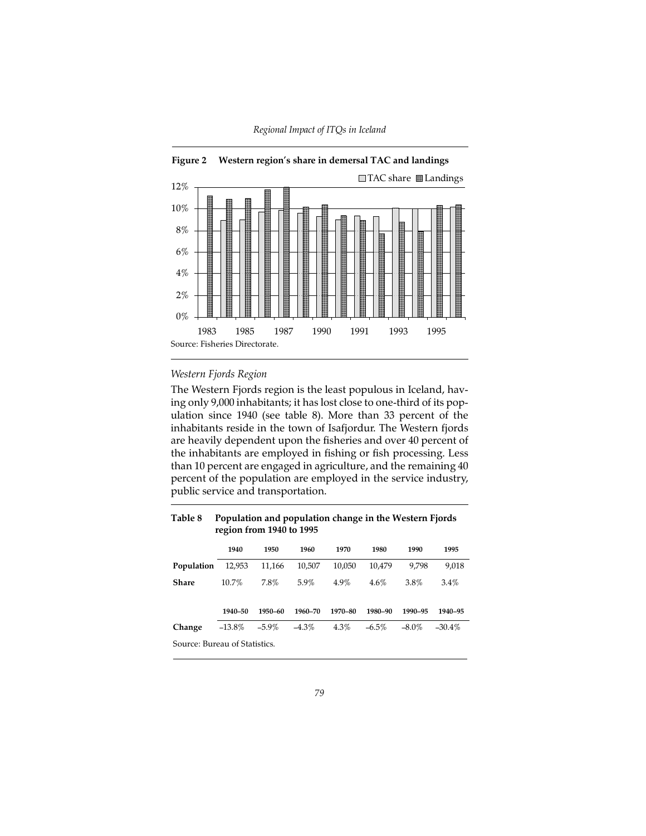

## **Figure 2 Western region's share in demersal TAC and landings**

# *Western Fjords Region*

The Western Fjords region is the least populous in Iceland, having only 9,000 inhabitants; it has lost close to one-third of its population since 1940 (see table 8). More than 33 percent of the inhabitants reside in the town of Isafjordur. The Western fjords are heavily dependent upon the fisheries and over 40 percent of the inhabitants are employed in fishing or fish processing. Less than 10 percent are engaged in agriculture, and the remaining 40 percent of the population are employed in the service industry, public service and transportation.

| Table 8                       |          | Population and population change in the Western Fjords<br>region from 1940 to 1995 |          |         |          |          |           |
|-------------------------------|----------|------------------------------------------------------------------------------------|----------|---------|----------|----------|-----------|
|                               | 1940     | 1950                                                                               | 1960     | 1970    | 1980     | 1990     | 1995      |
| Population                    | 12,953   | 11,166                                                                             | 10,507   | 10.050  | 10,479   | 9.798    | 9.018     |
| Share                         | 10.7%    | 7.8%                                                                               | 5.9%     | 4.9%    | 4.6%     | 3.8%     | $3.4\%$   |
|                               | 1940-50  | 1950-60                                                                            | 1960-70  | 1970-80 | 1980-90  | 1990-95  | 1940-95   |
| Change                        | $-13.8%$ | $-5.9\%$                                                                           | $-4.3\%$ | $4.3\%$ | $-6.5\%$ | $-8.0\%$ | $-30.4\%$ |
| Source: Bureau of Statistics. |          |                                                                                    |          |         |          |          |           |

# **Table 8 Population and population change in the Western Fjords**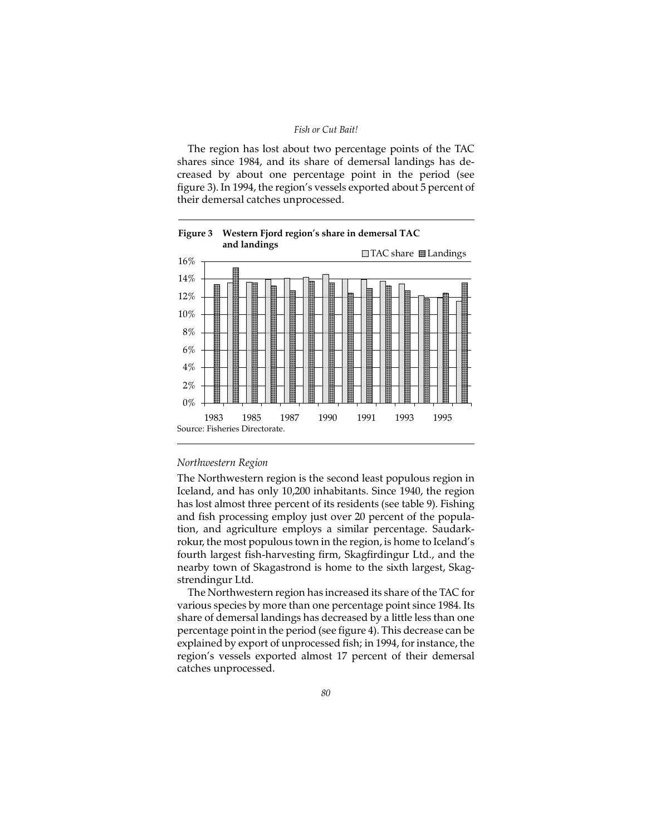The region has lost about two percentage points of the TAC shares since 1984, and its share of demersal landings has decreased by about one percentage point in the period (see figure 3). In 1994, the region's vessels exported about 5 percent of their demersal catches unprocessed.





#### *Northwestern Region*

The Northwestern region is the second least populous region in Iceland, and has only 10,200 inhabitants. Since 1940, the region has lost almost three percent of its residents (see table 9). Fishing and fish processing employ just over 20 percent of the population, and agriculture employs a similar percentage. Saudarkrokur, the most populous town in the region, is home to Iceland's fourth largest fish-harvesting firm, Skagfirdingur Ltd., and the nearby town of Skagastrond is home to the sixth largest, Skagstrendingur Ltd.

The Northwestern region has increased its share of the TAC for various species by more than one percentage point since 1984. Its share of demersal landings has decreased by a little less than one percentage point in the period (see figure 4). This decrease can be explained by export of unprocessed fish; in 1994, for instance, the region's vessels exported almost 17 percent of their demersal catches unprocessed.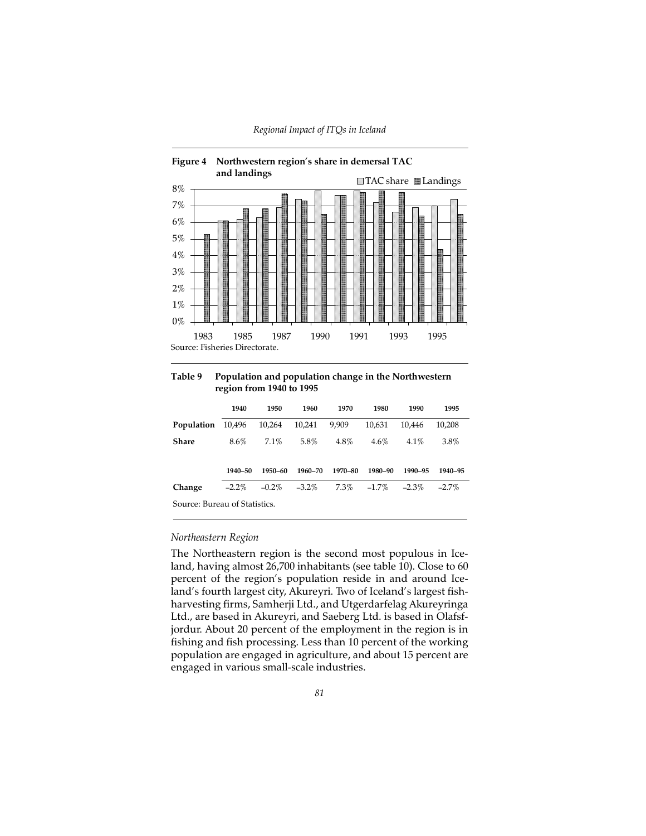

**Table 9 Population and population change in the Northwestern region from 1940 to 1995**

|                               | 1940     | 1950     | 1960     | 1970    | 1980     | 1990     | 1995     |
|-------------------------------|----------|----------|----------|---------|----------|----------|----------|
| Population                    | 10,496   | 10,264   | 10.241   | 9,909   | 10.631   | 10.446   | 10.208   |
| Share                         | 8.6%     | 7.1%     | 5.8%     | $4.8\%$ | $4.6\%$  | $4.1\%$  | 3.8%     |
|                               |          |          |          |         |          |          |          |
|                               | 1940-50  | 1950-60  | 1960-70  | 1970-80 | 1980-90  | 1990-95  | 1940-95  |
| Change                        | $-2.2\%$ | $-0.2\%$ | $-3.2\%$ | $7.3\%$ | $-1.7\%$ | $-2.3\%$ | $-2.7\%$ |
| Source: Bureau of Statistics. |          |          |          |         |          |          |          |

## *Northeastern Region*

The Northeastern region is the second most populous in Iceland, having almost 26,700 inhabitants (see table 10). Close to 60 percent of the region's population reside in and around Iceland's fourth largest city, Akureyri. Two of Iceland's largest fishharvesting firms, Samherji Ltd., and Utgerdarfelag Akureyringa Ltd., are based in Akureyri, and Saeberg Ltd. is based in Olafsfjordur. About 20 percent of the employment in the region is in fishing and fish processing. Less than 10 percent of the working population are engaged in agriculture, and about 15 percent are engaged in various small-scale industries.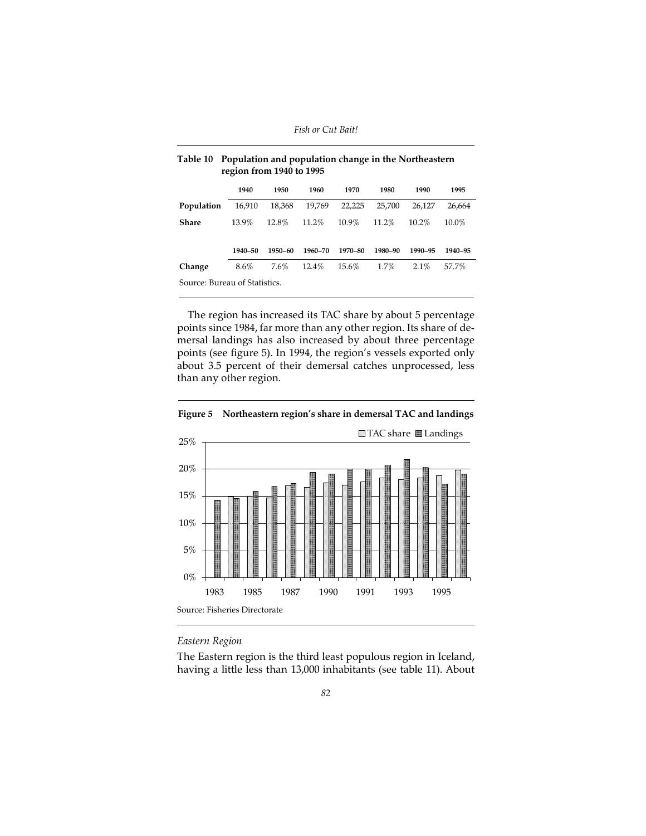|                               | 1940    | 1950    | 1960     | 1970    | 1980    | 1990     | 1995     |
|-------------------------------|---------|---------|----------|---------|---------|----------|----------|
| Population                    | 16.910  | 18,368  | 19.769   | 22.225  | 25,700  | 26.127   | 26.664   |
| Share                         | 13.9%   | 12.8%   | $11.2\%$ | 10.9%   | 11.2%   | $10.2\%$ | $10.0\%$ |
|                               |         |         |          |         |         |          |          |
|                               | 1940-50 | 1950-60 | 1960-70  | 1970-80 | 1980-90 | 1990-95  | 1940-95  |
| Change                        | 8.6%    | 7.6%    | 12.4%    | 15.6%   | $1.7\%$ | $2.1\%$  | 57.7%    |
| Source: Bureau of Statistics. |         |         |          |         |         |          |          |

| Table 10 Population and population change in the Northeastern |
|---------------------------------------------------------------|
| region from 1940 to 1995                                      |

The region has increased its TAC share by about 5 percentage points since 1984, far more than any other region. Its share of demersal landings has also increased by about three percentage points (see figure 5). In 1994, the region's vessels exported only about 3.5 percent of their demersal catches unprocessed, less than any other region.





## *Eastern Region*

The Eastern region is the third least populous region in Iceland, having a little less than 13,000 inhabitants (see table 11). About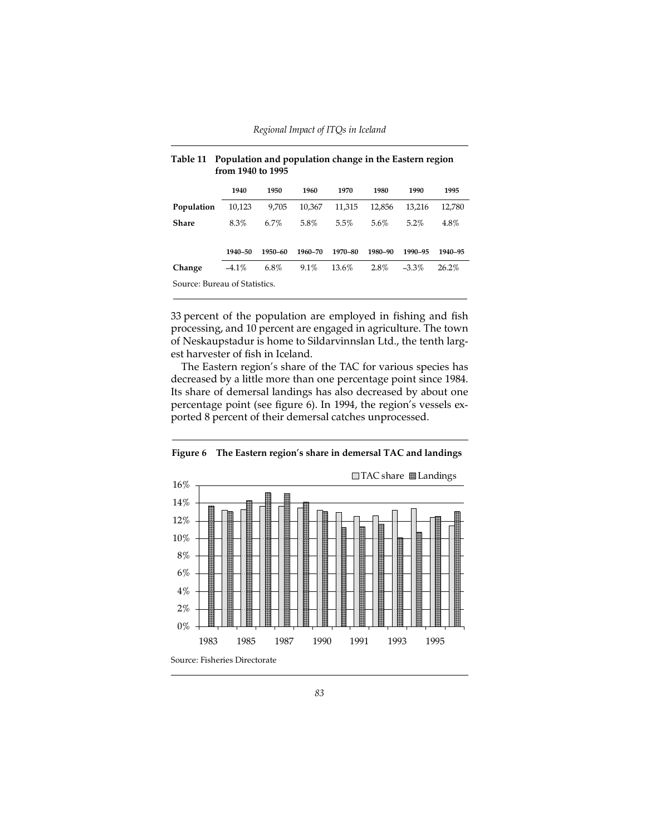|                               | 1940     | 1950    | 1960    | 1970    | 1980    | 1990     | 1995     |
|-------------------------------|----------|---------|---------|---------|---------|----------|----------|
| Population                    | 10,123   | 9.705   | 10.367  | 11,315  | 12.856  | 13.216   | 12,780   |
| Share                         | 8.3%     | $6.7\%$ | 5.8%    | $5.5\%$ | 5.6%    | $5.2\%$  | 4.8%     |
|                               |          |         |         |         |         |          |          |
|                               | 1940-50  | 1950-60 | 1960-70 | 1970-80 | 1980-90 | 1990-95  | 1940-95  |
| Change                        | $-4.1\%$ | 6.8%    | 9.1%    | 13.6%   | 2.8%    | $-3.3\%$ | $26.2\%$ |
| Source: Bureau of Statistics. |          |         |         |         |         |          |          |

| Table 11 Population and population change in the Eastern region |
|-----------------------------------------------------------------|
| from 1940 to 1995                                               |

33 percent of the population are employed in fishing and fish processing, and 10 percent are engaged in agriculture. The town of Neskaupstadur is home to Sildarvinnslan Ltd., the tenth largest harvester of fish in Iceland.

The Eastern region's share of the TAC for various species has decreased by a little more than one percentage point since 1984. Its share of demersal landings has also decreased by about one percentage point (see figure 6). In 1994, the region's vessels exported 8 percent of their demersal catches unprocessed.

**Figure 6 The Eastern region's share in demersal TAC and landings**

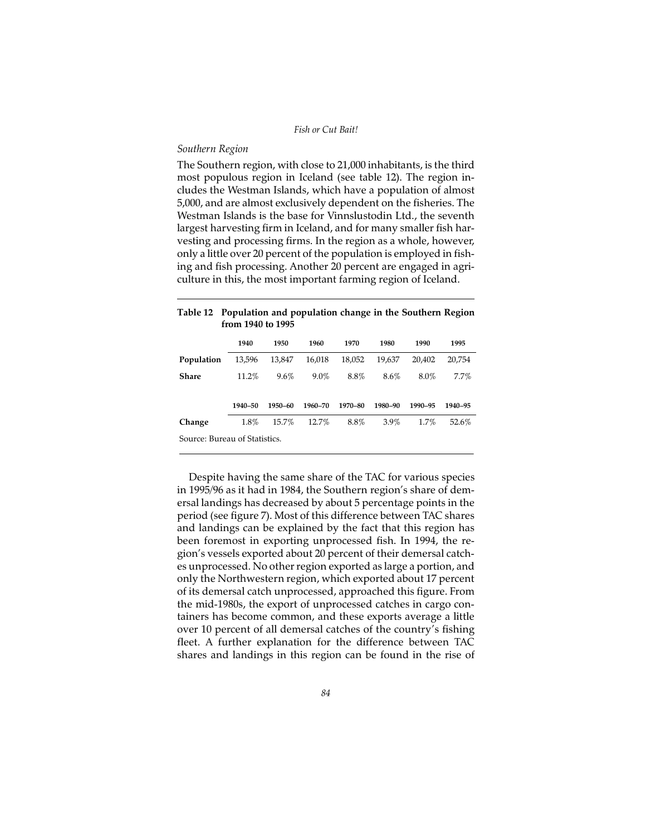## *Southern Region*

The Southern region, with close to 21,000 inhabitants, is the third most populous region in Iceland (see table 12). The region includes the Westman Islands, which have a population of almost 5,000, and are almost exclusively dependent on the fisheries. The Westman Islands is the base for Vinnslustodin Ltd., the seventh largest harvesting firm in Iceland, and for many smaller fish harvesting and processing firms. In the region as a whole, however, only a little over 20 percent of the population is employed in fishing and fish processing. Another 20 percent are engaged in agriculture in this, the most important farming region of Iceland.

| 1 U.V.I.C. 14<br>Topalation and population change in the southern negron<br>from 1940 to 1995 |         |         |         |         |         |         |         |
|-----------------------------------------------------------------------------------------------|---------|---------|---------|---------|---------|---------|---------|
|                                                                                               | 1940    | 1950    | 1960    | 1970    | 1980    | 1990    | 1995    |
| Population                                                                                    | 13,596  | 13,847  | 16.018  | 18.052  | 19.637  | 20.402  | 20.754  |
| <b>Share</b>                                                                                  | 11.2%   | $9.6\%$ | $9.0\%$ | 8.8%    | 8.6%    | 8.0%    | $7.7\%$ |
|                                                                                               | 1940-50 | 1950-60 | 1960-70 | 1970-80 | 1980-90 | 1990-95 | 1940-95 |
| Change                                                                                        | 1.8%    | 15.7%   | 12.7%   | 8.8%    | $3.9\%$ | 1.7%    | 52.6%   |
| Source: Bureau of Statistics.                                                                 |         |         |         |         |         |         |         |

# **Table 12 Population and population change in the Southern Region**

Despite having the same share of the TAC for various species in 1995/96 as it had in 1984, the Southern region's share of demersal landings has decreased by about 5 percentage points in the period (see figure 7). Most of this difference between TAC shares and landings can be explained by the fact that this region has been foremost in exporting unprocessed fish. In 1994, the region's vessels exported about 20 percent of their demersal catches unprocessed. No other region exported as large a portion, and only the Northwestern region, which exported about 17 percent of its demersal catch unprocessed, approached this figure. From the mid-1980s, the export of unprocessed catches in cargo containers has become common, and these exports average a little over 10 percent of all demersal catches of the country's fishing fleet. A further explanation for the difference between TAC shares and landings in this region can be found in the rise of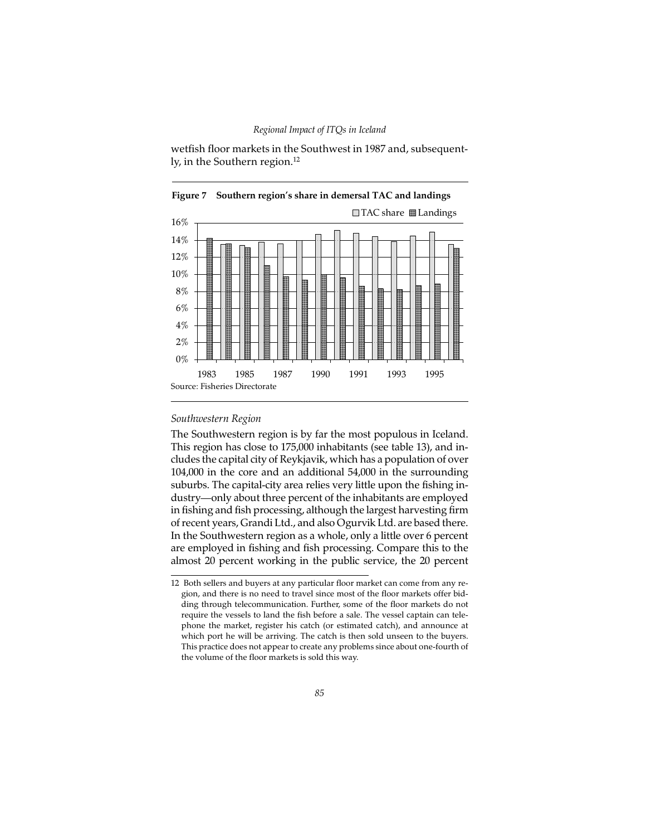wetfish floor markets in the Southwest in 1987 and, subsequently, in the Southern region.<sup>12</sup>





## *Southwestern Region*

The Southwestern region is by far the most populous in Iceland. This region has close to 175,000 inhabitants (see table 13), and includes the capital city of Reykjavik, which has a population of over 104,000 in the core and an additional 54,000 in the surrounding suburbs. The capital-city area relies very little upon the fishing industry—only about three percent of the inhabitants are employed in fishing and fish processing, although the largest harvesting firm of recent years, Grandi Ltd., and also Ogurvik Ltd. are based there. In the Southwestern region as a whole, only a little over 6 percent are employed in fishing and fish processing. Compare this to the almost 20 percent working in the public service, the 20 percent

<sup>12</sup> Both sellers and buyers at any particular floor market can come from any region, and there is no need to travel since most of the floor markets offer bidding through telecommunication. Further, some of the floor markets do not require the vessels to land the fish before a sale. The vessel captain can telephone the market, register his catch (or estimated catch), and announce at which port he will be arriving. The catch is then sold unseen to the buyers. This practice does not appear to create any problems since about one-fourth of the volume of the floor markets is sold this way.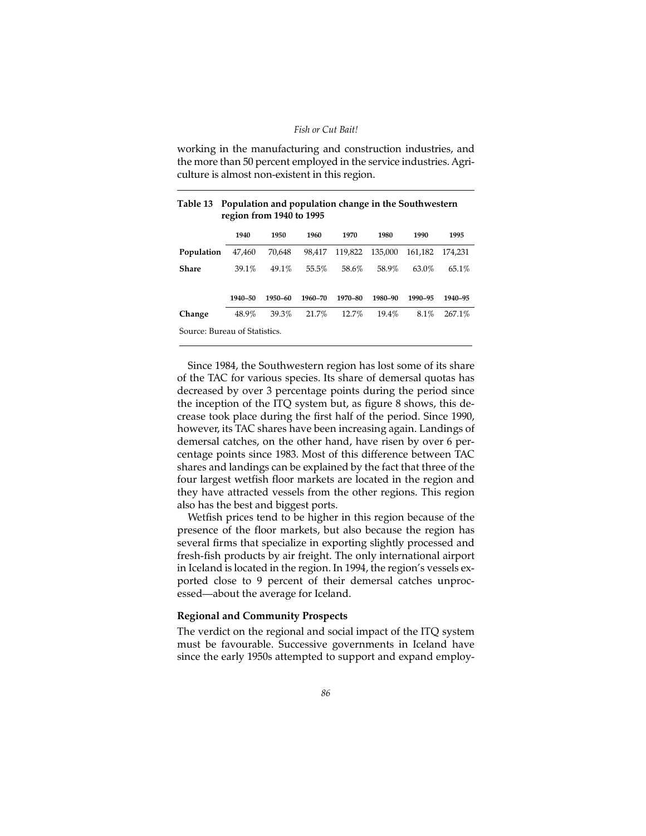working in the manufacturing and construction industries, and the more than 50 percent employed in the service industries. Agriculture is almost non-existent in this region.

|                               | 1940    | 1950    | 1960    | 1970     | 1980    | 1990    | 1995      |
|-------------------------------|---------|---------|---------|----------|---------|---------|-----------|
| Population                    | 47,460  | 70,648  | 98.417  | 119,822  | 135.000 | 161.182 | 174.231   |
| Share                         | 39.1%   | 49.1%   | 55.5%   | 58.6%    | 58.9%   | 63.0%   | 65.1%     |
|                               |         |         |         |          |         |         |           |
|                               | 1940-50 | 1950-60 | 1960-70 | 1970-80  | 1980-90 | 1990-95 | 1940-95   |
| Change                        | 48.9%   | 39.3%   | 21.7%   | $12.7\%$ | 19.4%   | 8.1%    | $267.1\%$ |
| Source: Bureau of Statistics. |         |         |         |          |         |         |           |

### **Table 13 Population and population change in the Southwestern region from 1940 to 1995**

Since 1984, the Southwestern region has lost some of its share of the TAC for various species. Its share of demersal quotas has decreased by over 3 percentage points during the period since the inception of the ITQ system but, as figure 8 shows, this decrease took place during the first half of the period. Since 1990, however, its TAC shares have been increasing again. Landings of demersal catches, on the other hand, have risen by over 6 percentage points since 1983. Most of this difference between TAC shares and landings can be explained by the fact that three of the four largest wetfish floor markets are located in the region and they have attracted vessels from the other regions. This region also has the best and biggest ports.

Wetfish prices tend to be higher in this region because of the presence of the floor markets, but also because the region has several firms that specialize in exporting slightly processed and fresh-fish products by air freight. The only international airport in Iceland is located in the region. In 1994, the region's vessels exported close to 9 percent of their demersal catches unprocessed—about the average for Iceland.

## **Regional and Community Prospects**

The verdict on the regional and social impact of the ITQ system must be favourable. Successive governments in Iceland have since the early 1950s attempted to support and expand employ-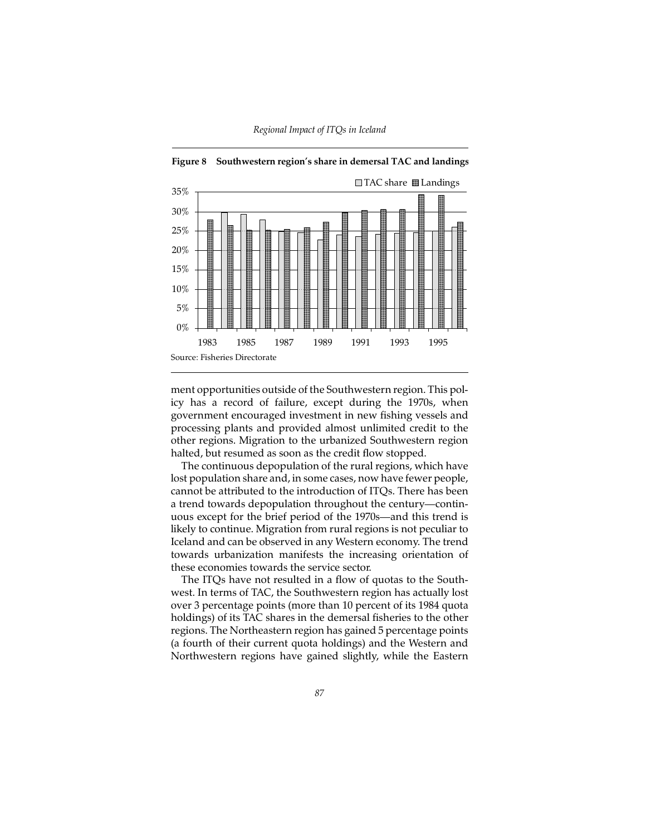



ment opportunities outside of the Southwestern region. This policy has a record of failure, except during the 1970s, when government encouraged investment in new fishing vessels and processing plants and provided almost unlimited credit to the other regions. Migration to the urbanized Southwestern region halted, but resumed as soon as the credit flow stopped.

The continuous depopulation of the rural regions, which have lost population share and, in some cases, now have fewer people, cannot be attributed to the introduction of ITQs. There has been a trend towards depopulation throughout the century—continuous except for the brief period of the 1970s—and this trend is likely to continue. Migration from rural regions is not peculiar to Iceland and can be observed in any Western economy. The trend towards urbanization manifests the increasing orientation of these economies towards the service sector.

The ITQs have not resulted in a flow of quotas to the Southwest. In terms of TAC, the Southwestern region has actually lost over 3 percentage points (more than 10 percent of its 1984 quota holdings) of its TAC shares in the demersal fisheries to the other regions. The Northeastern region has gained 5 percentage points (a fourth of their current quota holdings) and the Western and Northwestern regions have gained slightly, while the Eastern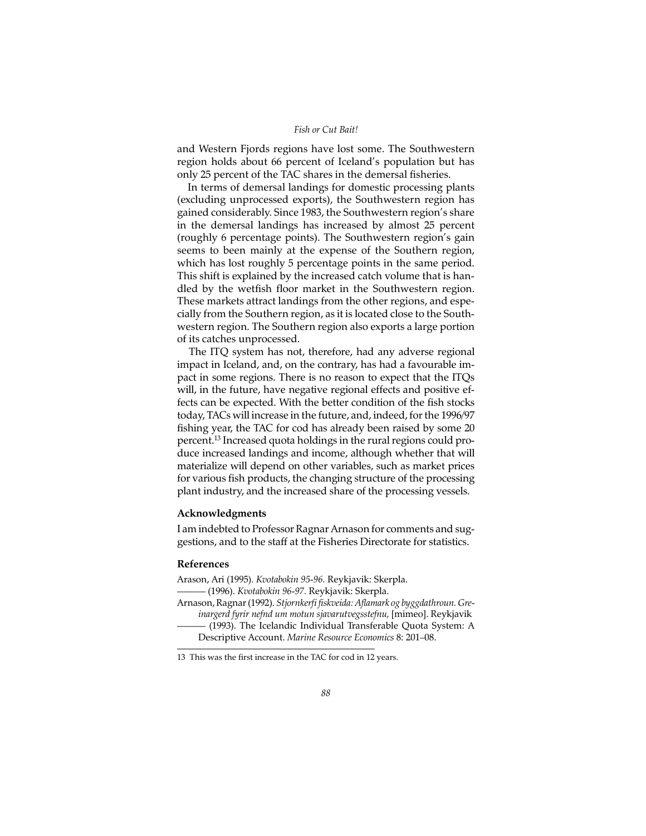and Western Fjords regions have lost some. The Southwestern region holds about 66 percent of Iceland's population but has only 25 percent of the TAC shares in the demersal fisheries.

In terms of demersal landings for domestic processing plants (excluding unprocessed exports), the Southwestern region has gained considerably. Since 1983, the Southwestern region's share in the demersal landings has increased by almost 25 percent (roughly 6 percentage points). The Southwestern region's gain seems to been mainly at the expense of the Southern region, which has lost roughly 5 percentage points in the same period. This shift is explained by the increased catch volume that is handled by the wetfish floor market in the Southwestern region. These markets attract landings from the other regions, and especially from the Southern region, as it is located close to the Southwestern region. The Southern region also exports a large portion of its catches unprocessed.

The ITQ system has not, therefore, had any adverse regional impact in Iceland, and, on the contrary, has had a favourable impact in some regions. There is no reason to expect that the ITQs will, in the future, have negative regional effects and positive effects can be expected. With the better condition of the fish stocks today, TACs will increase in the future, and, indeed, for the 1996/97 fishing year, the TAC for cod has already been raised by some 20 percent.13 Increased quota holdings in the rural regions could produce increased landings and income, although whether that will materialize will depend on other variables, such as market prices for various fish products, the changing structure of the processing plant industry, and the increased share of the processing vessels.

### **Acknowledgments**

I am indebted to Professor Ragnar Arnason for comments and suggestions, and to the staff at the Fisheries Directorate for statistics.

#### **References**

Arason, Ari (1995). *Kvotabokin 95-96.* Reykjavik: Skerpla. ——— (1996). *Kvotabokin 96-97.* Reykjavik: Skerpla.

Arnason, Ragnar (1992). *Stjornkerfi fiskveida: Aflamark og byggdathroun. Greinargerd fyrir nefnd um motun sjavarutvegsstefnu,* [mimeo]. Reykjavik

——— (1993). The Icelandic Individual Transferable Quota System: A Descriptive Account. *Marine Resource Economics* 8: 201–08.

<sup>13</sup> This was the first increase in the TAC for cod in 12 years.